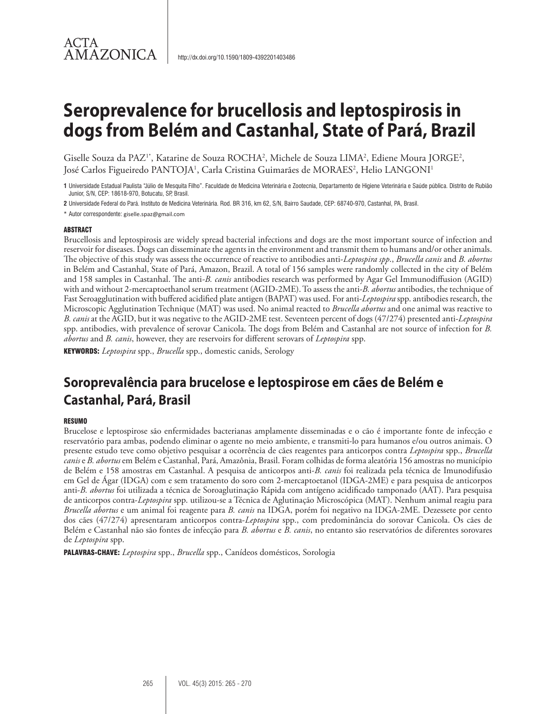## ACTA **AMAZONICA**

# **Seroprevalence for brucellosis and leptospirosis in dogs from Belém and Castanhal, State of Pará, Brazil**

Giselle Souza da PAZ<sup>1\*</sup>, Katarine de Souza ROCHA<sup>2</sup>, Michele de Souza LIMA<sup>2</sup>, Ediene Moura JORGE<sup>2</sup>, José Carlos Figueiredo PANTOJA<sup>1</sup>, Carla Cristina Guimarães de MORAES<sup>2</sup>, Helio LANGONI<sup>1</sup>

**1** Universidade Estadual Paulista "Júlio de Mesquita Filho". Faculdade de Medicina Veterinária e Zootecnia, Departamento de Higiene Veterinária e Saúde pública. Distrito de Rubião Junior, S/N, CEP: 18618-970, Botucatu, SP, Brasil.

**2** Universidade Federal do Pará. Instituto de Medicina Veterinária. Rod. BR 316, km 62, S/N, Bairro Saudade, CEP: 68740-970, Castanhal, PA, Brasil.

\* Autor correspondente: giselle.spaz@gmail.com

#### ABSTRACT

Brucellosis and leptospirosis are widely spread bacterial infections and dogs are the most important source of infection and reservoir for diseases. Dogs can disseminate the agents in the environment and transmit them to humans and/or other animals. The objective of this study was assess the occurrence of reactive to antibodies anti-*Leptospira spp*., *Brucella canis* and *B. abortus*  in Belém and Castanhal, State of Pará, Amazon, Brazil. A total of 156 samples were randomly collected in the city of Belém and 158 samples in Castanhal. The anti*-B. canis* antibodies research was performed by Agar Gel Immunodiffusion (AGID) with and without 2-mercaptoethanol serum treatment (AGID-2ME). To assess the anti-*B. abortus* antibodies, the technique of Fast Seroagglutination with buffered acidified plate antigen (BAPAT) was used. For anti-*Leptospira* spp. antibodies research, the Microscopic Agglutination Technique (MAT) was used. No animal reacted to *Brucella abortus* and one animal was reactive to *B. canis* at the AGID, but it was negative to the AGID-2ME test. Seventeen percent of dogs (47/274) presented anti-*Leptospira* spp. antibodies, with prevalence of serovar Canicola. The dogs from Belém and Castanhal are not source of infection for *B. abortus* and *B. canis*, however, they are reservoirs for different serovars of *Leptospira* spp.

KEYWORDS: *Leptospira* spp., *Brucella* spp., domestic canids, Serology

# **Soroprevalência para brucelose e leptospirose em cães de Belém e Castanhal, Pará, Brasil**

#### **RESUMO**

Brucelose e leptospirose são enfermidades bacterianas amplamente disseminadas e o cão é importante fonte de infecção e reservatório para ambas, podendo eliminar o agente no meio ambiente, e transmiti-lo para humanos e/ou outros animais. O presente estudo teve como objetivo pesquisar a ocorrência de cães reagentes para anticorpos contra *Leptospira* spp., *Brucella canis* e *B. abortus* em Belém e Castanhal, Pará, Amazônia, Brasil. Foram colhidas de forma aleatória 156 amostras no município de Belém e 158 amostras em Castanhal. A pesquisa de anticorpos anti-*B. canis* foi realizada pela técnica de Imunodifusão em Gel de Ágar (IDGA) com e sem tratamento do soro com 2-mercaptoetanol (IDGA-2ME) e para pesquisa de anticorpos anti-*B. abortus* foi utilizada a técnica de Soroaglutinação Rápida com antígeno acidificado tamponado (AAT). Para pesquisa de anticorpos contra-*Leptospira* spp. utilizou-se a Técnica de Aglutinação Microscópica (MAT). Nenhum animal reagiu para *Brucella abortus* e um animal foi reagente para *B. canis* na IDGA, porém foi negativo na IDGA-2ME. Dezessete por cento dos cães (47/274) apresentaram anticorpos contra-*Leptospira* spp., com predominância do sorovar Canicola. Os cães de Belém e Castanhal não são fontes de infecção para *B. abortus* e *B. canis*, no entanto são reservatórios de diferentes sorovares de *Leptospira* spp.

PALAVRAS-CHAVE: *Leptospira* spp., *Brucella* spp., Canídeos domésticos, Sorologia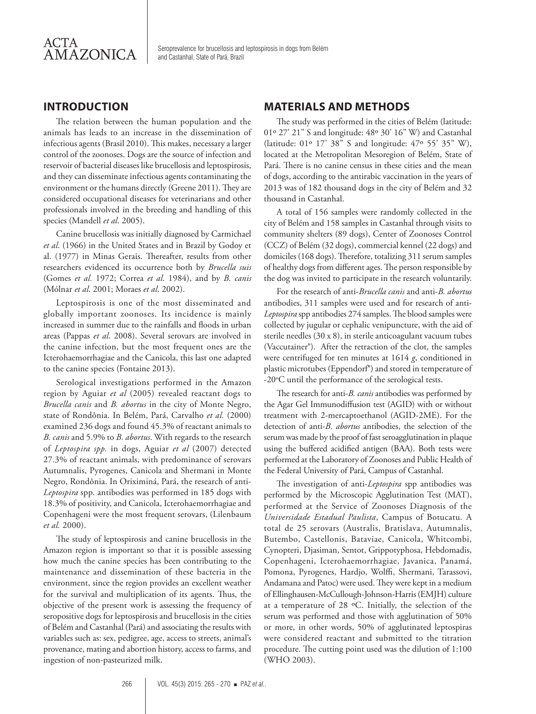

Seroprevalence for brucellosis and leptospirosis in dogs from Belém and Castanhal, State of Pará, Brazil

#### **INTRODUCTION**

The relation between the human population and the animals has leads to an increase in the dissemination of infectious agents (Brasil 2010). This makes, necessary a larger control of the zoonoses. Dogs are the source of infection and reservoir of bacterial diseases like brucellosis and leptospirosis, and they can disseminate infectious agents contaminating the environment or the humans directly (Greene 2011). They are considered occupational diseases for veterinarians and other professionals involved in the breeding and handling of this species (Mandell *et al*. 2005).

Canine brucellosis was initially diagnosed by Carmichael *et al*. (1966) in the United States and in Brazil by Godoy et al. (1977) in Minas Gerais. Thereafter, results from other researchers evidenced its occurrence both by *Brucella suis*  (Gomes *et al.* 1972; Correa *et al*. 1984), and by *B. canis* (Mólnar *et al*. 2001; Moraes *et al*. 2002).

Leptospirosis is one of the most disseminated and globally important zoonoses. Its incidence is mainly increased in summer due to the rainfalls and floods in urban areas (Pappas *et al*. 2008). Several serovars are involved in the canine infection, but the most frequent ones are the Icterohaemorrhagiae and the Canicola, this last one adapted to the canine species (Fontaine 2013).

Serological investigations performed in the Amazon region by Aguiar *et al* (2005) revealed reactant dogs to *Brucella canis* and *B. abortus* in the city of Monte Negro, state of Rondônia. In Belém, Pará, Carvalho *et al.* (2000) examined 236 dogs and found 45.3% of reactant animals to *B. canis* and 5.9% to *B. abortus*. With regards to the research of *Leptospira spp.* in dogs, Aguiar *et al* (2007) detected 27.3% of reactant animals, with predominance of serovars Autumnalis, Pyrogenes, Canicola and Shermani in Monte Negro, Rondônia. In Oriximiná, Pará, the research of anti-*Leptospira* spp. antibodies was performed in 185 dogs with 18.3% of positivity, and Canicola, Icterohaemorrhagiae and Copenhageni were the most frequent serovars, (Lilenbaum *et al.* 2000).

The study of leptospirosis and canine brucellosis in the Amazon region is important so that it is possible assessing how much the canine species has been contributing to the maintenance and dissemination of these bacteria in the environment, since the region provides an excellent weather for the survival and multiplication of its agents. Thus, the objective of the present work is assessing the frequency of seropositive dogs for leptospirosis and brucellosis in the cities of Belém and Castanhal (Pará) and associating the results with variables such as: sex, pedigree, age, access to streets, animal's provenance, mating and abortion history, access to farms, and ingestion of non-pasteurized milk.

#### **MATERIALS AND METHODS**

The study was performed in the cities of Belém (latitude: 01º 27' 21" S and longitude: 48º 30' 16" W) and Castanhal (latitude: 01º 17' 38" S and longitude: 47º 55' 35" W), located at the Metropolitan Mesoregion of Belém, State of Pará. There is no canine census in these cities and the mean of dogs, according to the antirabic vaccination in the years of 2013 was of 182 thousand dogs in the city of Belém and 32 thousand in Castanhal.

A total of 156 samples were randomly collected in the city of Belém and 158 samples in Castanhal through visits to community shelters (89 dogs), Center of Zoonoses Control (CCZ) of Belém (32 dogs), commercial kennel (22 dogs) and domiciles (168 dogs). Therefore, totalizing 311 serum samples of healthy dogs from different ages. The person responsible by the dog was invited to participate in the research voluntarily.

For the research of anti-*Brucella canis* and anti-*B. abortus* antibodies, 311 samples were used and for research of anti-*Leptospira* spp antibodies 274 samples. The blood samples were collected by jugular or cephalic venipuncture, with the aid of sterile needles (30 x 8), in sterile anticoagulant vacuum tubes (Vaccutainer®). After the retraction of the clot, the samples were centrifuged for ten minutes at 1614 *g*, conditioned in plastic microtubes (Eppendorf®) and stored in temperature of -20°C until the performance of the serological tests.

The research for anti-*B. canis* antibodies was performed by the Agar Gel Immunodiffusion test (AGID) with or without treatment with 2-mercaptoethanol (AGID-2ME). For the detection of anti-*B. abortus* antibodies, the selection of the serum was made by the proof of fast seroagglutination in plaque using the buffered acidified antigen (BAA). Both tests were performed at the Laboratory of Zoonoses and Public Health of the Federal University of Pará, Campus of Castanhal.

The investigation of anti-*Leptospira* spp antibodies was performed by the Microscopic Agglutination Test (MAT), performed at the Service of Zoonoses Diagnosis of the *Universidade Estadual Paulista*, Campus of Botucatu. A total de 25 serovars (Australis, Bratislava, Autumnalis, Butembo, Castellonis, Bataviae, Canicola, Whitcombi, Cynopteri, Djasiman, Sentot, Grippotyphosa, Hebdomadis, Copenhageni, Icterohaemorrhagiae, Javanica, Panamá, Pomona, Pyrogenes, Hardjo, Wolffi, Shermani, Tarassovi, Andamana and Patoc) were used. They were kept in a medium of Ellinghausen-McCullough-Johnson-Harris (EMJH) culture at a temperature of 28 ºC. Initially, the selection of the serum was performed and those with agglutination of 50% or more, in other words, 50% of agglutinated leptospiras were considered reactant and submitted to the titration procedure. The cutting point used was the dilution of 1:100 (WHO 2003).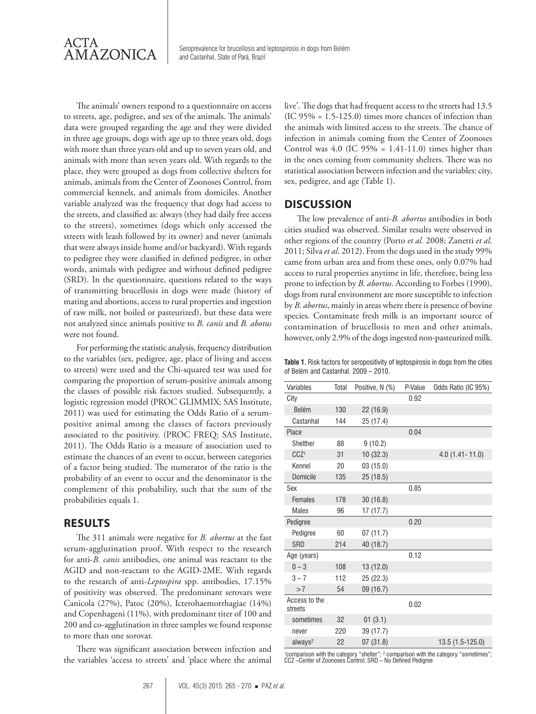

Seroprevalence for brucellosis and leptospirosis in dogs from Belém and Castanhal, State of Pará, Brazil

The animals' owners respond to a questionnaire on access to streets, age, pedigree, and sex of the animals. The animals' data were grouped regarding the age and they were divided in three age groups, dogs with age up to three years old, dogs with more than three years old and up to seven years old, and animals with more than seven years old. With regards to the place, they were grouped as dogs from collective shelters for animals, animals from the Center of Zoonoses Control, from commercial kennels, and animals from domiciles. Another variable analyzed was the frequency that dogs had access to the streets, and classified as: always (they had daily free access to the streets), sometimes (dogs which only accessed the streets with leash followed by its owner) and never (animals that were always inside home and/or backyard). With regards to pedigree they were classified in defined pedigree, in other words, animals with pedigree and without defined pedigree (SRD). In the questionnaire, questions related to the ways of transmitting brucellosis in dogs were made (history of mating and abortions, access to rural properties and ingestion of raw milk, not boiled or pasteurized), but these data were not analyzed since animals positive to *B. canis* and *B. abotus*  were not found.

For performing the statistic analysis, frequency distribution to the variables (sex, pedigree, age, place of living and access to streets) were used and the Chi-squared test was used for comparing the proportion of serum-positive animals among the classes of possible risk factors studied. Subsequently, a logistic regression model (PROC GLIMMIX; SAS Institute, 2011) was used for estimating the Odds Ratio of a serumpositive animal among the classes of factors previously associated to the positivity. (PROC FREQ; SAS Institute, 2011). The Odds Ratio is a measure of association used to estimate the chances of an event to occur, between categories of a factor being studied. The numerator of the ratio is the probability of an event to occur and the denominator is the complement of this probability, such that the sum of the probabilities equals 1.

#### **RESULTS**

The 311 animals were negative for *B. abortus* at the fast serum-agglutination proof. With respect to the research for anti-*B. canis* antibodies, one animal was reactant to the AGID and non-reactant to the AGID-2ME. With regards to the research of anti-*Leptospira* spp. antibodies, 17.15% of positivity was observed. The predominant serovars were Canicola (27%), Patoc (20%), Icterohaemorrhagiae (14%) and Copenhageni (11%), with predominant titer of 100 and 200 and co-agglutination in three samples we found response to more than one sorovar.

There was significant association between infection and the variables 'access to streets' and 'place where the animal live'. The dogs that had frequent access to the streets had 13.5  $(IC 95% = 1.5-125.0)$  times more chances of infection than the animals with limited access to the streets. The chance of infection in animals coming from the Center of Zoonoses Control was  $4.0$  (IC  $95\% = 1.41 - 11.0$ ) times higher than in the ones coming from community shelters. There was no statistical association between infection and the variables: city, sex, pedigree, and age (Table 1).

#### **DISCUSSION**

The low prevalence of anti-*B. abortus* antibodies in both cities studied was observed. Similar results were observed in other regions of the country (Porto *et al.* 2008; Zanetti *et al*. 2011; Silva *et al*. 2012). From the dogs used in the study 99% came from urban area and from these ones, only 0.07% had access to rural properties anytime in life, therefore, being less prone to infection by *B. abortus*. According to Forbes (1990), dogs from rural environment are more susceptible to infection by *B. abortus*, mainly in areas where there is presence of bovine species. Contaminate fresh milk is an important source of contamination of brucellosis to men and other animals, however, only 2.9% of the dogs ingested non-pasteurized milk.

**Table 1.** Risk factors for seropositivity of leptospirosis in dogs from the cities of Belém and Castanhal. 2009 – 2010.

| Variables                | Total | Positive, N (%) | P-Value | Odds Ratio (IC 95%) |
|--------------------------|-------|-----------------|---------|---------------------|
| City                     |       |                 | 0.92    |                     |
| <b>Belém</b>             | 130   | 22 (16.9)       |         |                     |
| Castanhal                | 144   | 25 (17.4)       |         |                     |
| Place                    |       |                 | 0.04    |                     |
| Shelther                 | 88    | 9(10.2)         |         |                     |
| CCZ <sup>1</sup>         | 31    | 10(32.3)        |         | $4.0$ (1.41 - 11.0) |
| Kennel                   | 20    | 03(15.0)        |         |                     |
| Domicile                 | 135   | 25 (18.5)       |         |                     |
| Sex                      |       |                 | 0.85    |                     |
| Females                  | 178   | 30(16.8)        |         |                     |
| Males                    | 96    | 17 (17.7)       |         |                     |
| Pedigree                 |       |                 | 0.20    |                     |
| Pedigree                 | 60    | 07 (11.7)       |         |                     |
| <b>SRD</b>               | 214   | 40 (18.7)       |         |                     |
| Age (years)              |       |                 | 0.12    |                     |
| $0 - 3$                  | 108   | 13(12.0)        |         |                     |
| $3 - 7$                  | 112   | 25 (22.3)       |         |                     |
| >7                       | 54    | 09 (16.7)       |         |                     |
| Access to the<br>streets |       |                 | 0.02    |                     |
| sometimes                | 32    | 01(3.1)         |         |                     |
| never                    | 220   | 39 (17.7)       |         |                     |
| always <sup>2</sup>      | 22    | 07(31.8)        |         | 13.5 (1.5-125.0)    |

<sup>1</sup>comparison with the category "shelter"; <sup>2</sup> comparison with the category "sometimes";<br>CCZ –Center of Zoonoses Control; SRD – No Defined Pedigree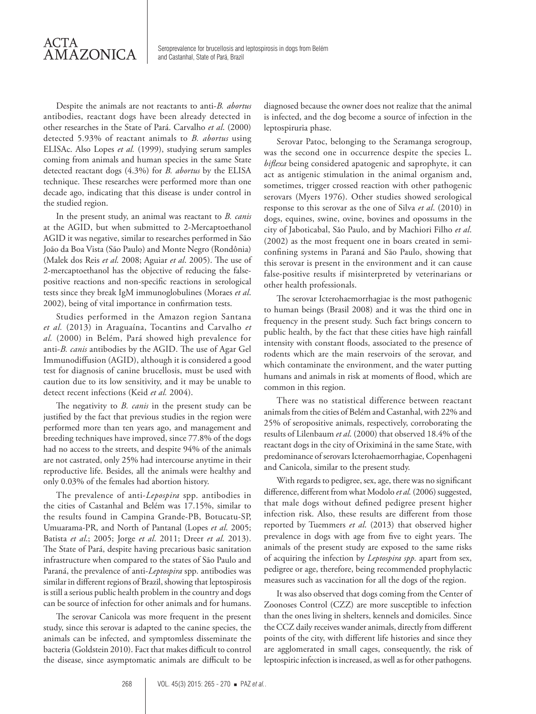Seroprevalence for brucellosis and leptospirosis in dogs from Belém and Castanhal, State of Pará, Brazil

Despite the animals are not reactants to anti-*B. abortus* antibodies, reactant dogs have been already detected in other researches in the State of Pará. Carvalho *et al*. (2000) detected 5.93% of reactant animals to *B. abortus* using ELISAc. Also Lopes *et al.* (1999), studying serum samples coming from animals and human species in the same State detected reactant dogs (4.3%) for *B. abortus* by the ELISA technique. These researches were performed more than one decade ago, indicating that this disease is under control in the studied region.

In the present study, an animal was reactant to *B. canis*  at the AGID, but when submitted to 2-Mercaptoethanol AGID it was negative, similar to researches performed in São João da Boa Vista (São Paulo) and Monte Negro (Rondônia) (Malek dos Reis *et al*. 2008; Aguiar *et al*. 2005). The use of 2-mercaptoethanol has the objective of reducing the falsepositive reactions and non-specific reactions in serological tests since they break IgM immunoglobulines (Moraes *et al*. 2002), being of vital importance in confirmation tests.

Studies performed in the Amazon region Santana *et al.* (2013) in Araguaína, Tocantins and Carvalho *et al.* (2000) in Belém, Pará showed high prevalence for anti-*B. canis* antibodies by the AGID. The use of Agar Gel Immunodiffusion (AGID), although it is considered a good test for diagnosis of canine brucellosis, must be used with caution due to its low sensitivity, and it may be unable to detect recent infections (Keid *et al.* 2004).

The negativity to *B. canis* in the present study can be justified by the fact that previous studies in the region were performed more than ten years ago, and management and breeding techniques have improved, since 77.8% of the dogs had no access to the streets, and despite 94% of the animals are not castrated, only 25% had intercourse anytime in their reproductive life. Besides, all the animals were healthy and only 0.03% of the females had abortion history.

The prevalence of anti-*Lepospira* spp. antibodies in the cities of Castanhal and Belém was 17.15%, similar to the results found in Campina Grande-PB, Botucatu-SP, Umuarama-PR, and North of Pantanal (Lopes *et al*. 2005; Batista *et al*.; 2005; Jorge *et al*. 2011; Dreer *et al*. 2013). The State of Pará, despite having precarious basic sanitation infrastructure when compared to the states of São Paulo and Paraná, the prevalence of anti-*Leptospira* spp. antibodies was similar in different regions of Brazil, showing that leptospirosis is still a serious public health problem in the country and dogs can be source of infection for other animals and for humans.

The serovar Canicola was more frequent in the present study, since this serovar is adapted to the canine species, the animals can be infected, and symptomless disseminate the bacteria (Goldstein 2010). Fact that makes difficult to control the disease, since asymptomatic animals are difficult to be

diagnosed because the owner does not realize that the animal is infected, and the dog become a source of infection in the leptospiruria phase.

Serovar Patoc, belonging to the Seramanga serogroup, was the second one in occurrence despite the species L. *biflexa* being considered apatogenic and saprophyte, it can act as antigenic stimulation in the animal organism and, sometimes, trigger crossed reaction with other pathogenic serovars (Myers 1976). Other studies showed serological response to this serovar as the one of Silva *et al*. (2010) in dogs, equines, swine, ovine, bovines and opossums in the city of Jaboticabal, São Paulo, and by Machiori Filho *et al*. (2002) as the most frequent one in boars created in semiconfining systems in Paraná and São Paulo, showing that this serovar is present in the environment and it can cause false-positive results if misinterpreted by veterinarians or other health professionals.

The serovar Icterohaemorrhagiae is the most pathogenic to human beings (Brasil 2008) and it was the third one in frequency in the present study. Such fact brings concern to public health, by the fact that these cities have high rainfall intensity with constant floods, associated to the presence of rodents which are the main reservoirs of the serovar, and which contaminate the environment, and the water putting humans and animals in risk at moments of flood, which are common in this region.

There was no statistical difference between reactant animals from the cities of Belém and Castanhal, with 22% and 25% of seropositive animals, respectively, corroborating the results of Lilenbaum *et al*. (2000) that observed 18.4% of the reactant dogs in the city of Oriximiná in the same State, with predominance of serovars Icterohaemorrhagiae, Copenhageni and Canicola, similar to the present study.

With regards to pedigree, sex, age, there was no significant difference, different from what Modolo *et al.* (2006) suggested, that male dogs without defined pedigree present higher infection risk. Also, these results are different from those reported by Tuemmers *et al*. (2013) that observed higher prevalence in dogs with age from five to eight years. The animals of the present study are exposed to the same risks of acquiring the infection by *Leptospira spp.* apart from sex, pedigree or age, therefore, being recommended prophylactic measures such as vaccination for all the dogs of the region.

It was also observed that dogs coming from the Center of Zoonoses Control (CZZ) are more susceptible to infection than the ones living in shelters, kennels and domiciles. Since the CCZ daily receives wander animals, directly from different points of the city, with different life histories and since they are agglomerated in small cages, consequently, the risk of leptospiric infection is increased, as well as for other pathogens.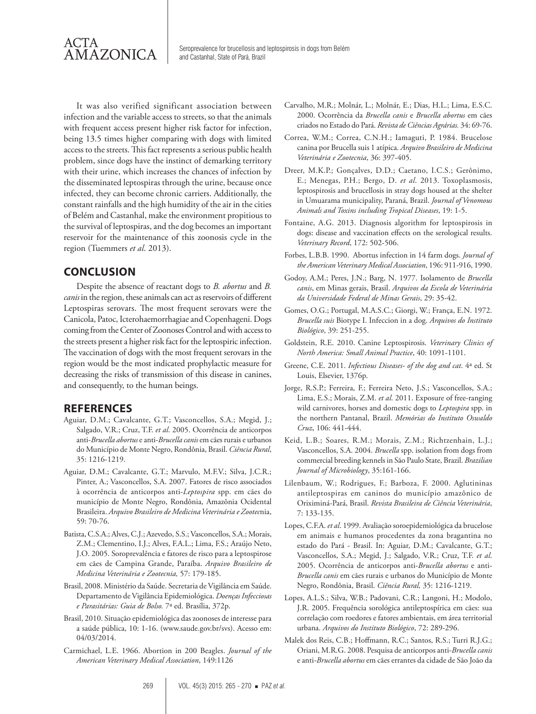

It was also verified significant association between infection and the variable access to streets, so that the animals with frequent access present higher risk factor for infection, being 13.5 times higher comparing with dogs with limited access to the streets. This fact represents a serious public health problem, since dogs have the instinct of demarking territory with their urine, which increases the chances of infection by the disseminated leptospiras through the urine, because once infected, they can become chronic carriers. Additionally, the constant rainfalls and the high humidity of the air in the cities of Belém and Castanhal, make the environment propitious to the survival of leptospiras, and the dog becomes an important reservoir for the maintenance of this zoonosis cycle in the region (Tuemmers *et al*. 2013).

#### **CONCLUSION**

Despite the absence of reactant dogs to *B. abortus* and *B. canis* in the region, these animals can act as reservoirs of different Leptospiras serovars. The most frequent serovars were the Canicola, Patoc, Icterohaemorrhagiae and Copenhageni. Dogs coming from the Center of Zoonoses Control and with access to the streets present a higher risk fact for the leptospiric infection. The vaccination of dogs with the most frequent serovars in the region would be the most indicated prophylactic measure for decreasing the risks of transmission of this disease in canines, and consequently, to the human beings.

#### **REFERENCES**

- Aguiar, D.M.; Cavalcante, G.T.; Vasconcellos, S.A.; Megid, J.; Salgado, V.R.; Cruz, T.F. *et al*. 2005. Ocorrência de anticorpos anti-*Brucella abortus* e anti-*Brucella canis* em cães rurais e urbanos do Município de Monte Negro, Rondônia, Brasil. *Ciência Rural*, 35: 1216-1219.
- Aguiar, D.M.; Cavalcante, G.T.; Marvulo, M.F.V.; Silva, J.C.R.; Pinter, A.; Vasconcellos, S.A. 2007. Fatores de risco associados à ocorrência de anticorpos anti-*Leptospira* spp. em cães do município de Monte Negro, Rondônia, Amazônia Ocidental Brasileira. *Arquivo Brasileiro de Medicina Veterinária e Zootec*nia, 59: 70-76.
- Batista, C.S.A.; Alves, C.J.; Azevedo, S.S.; Vasconcellos, S.A.; Morais, Z.M.; Clementino, I.J.; Alves, F.A.L.; Lima, F.S.; Araújo Neto, J.O. 2005. Soroprevalência e fatores de risco para a leptospirose em cães de Campina Grande, Paraíba. *Arquivo Brasileiro de Medicina Veterinária e Zootecnia,* 57: 179-185.
- Brasil, 2008. Ministério da Saúde. Secretaria de Vigilância em Saúde. Departamento de Vigilância Epidemiológica. *Doenças Infecciosas e Parasitárias: Guia de Bolso.* 7ª ed. Brasília, 372p.
- Brasil, 2010. Situação epidemiológica das zoonoses de interesse para a saúde pública, 10: 1-16. (www.saude.gov.br/svs). Acesso em: 04/03/2014.
- Carmichael, L.E. 1966. Abortion in 200 Beagles. *Journal of the American Veterinary Medical Association*, 149:1126
- Carvalho, M.R.; Molnár, L.; Molnár, E.; Dias, H.L.; Lima, E.S.C. 2000. Ocorrência da *Brucella canis* e *Brucella abortus* em cães criados no Estado do Pará. *Revista de Ciências Agrárias.* 34: 69-76.
- Correa, W.M.; Correa, C.N.H.; Iamaguti, P. 1984. Brucelose canina por Brucella suis 1 atípica. *Arquivo Brasileiro de Medicina Veterinária e Zootecnia*, 36: 397-405.
- Dreer, M.K.P.; Gonçalves, D.D.; Caetano, I.C.S.; Gerônimo, E.; Menegas, P.H.; Bergo, D. *et al*. 2013. Toxoplasmosis, leptospirosis and brucellosis in stray dogs housed at the shelter in Umuarama municipality, Paraná, Brazil. *Journal of Venomous Animals and Toxins including Tropical Diseases*, 19: 1-5.
- Fontaine, A.G. 2013. Diagnosis algorithm for leptospirosis in dogs: disease and vaccination effects on the serological results. *Veterinary Record*, 172: 502-506.
- Forbes, L.B.B. 1990. Abortus infection in 14 farm dogs. *Journal of the American Veterinary Medical Association*, 196: 911-916, 1990.
- Godoy, A.M.; Peres, J.N.; Barg, N. 1977. Isolamento de *Brucella canis*, em Minas gerais, Brasil. *Arquivos da Escola de Veterinária da Universidade Federal de Minas Gerais*, 29: 35-42.
- Gomes, O.G.; Portugal, M.A.S.C.; Giorgi, W.; França, E.N. 1972. *Brucella suis* Biotype I. Infeccion in a dog. *Arquivos do Instituto Biológico*, 39: 251-255.
- Goldstein, R.E. 2010. Canine Leptospirosis. *Veterinary Clinics of North America: Small Animal Practice*, 40: 1091-1101.
- Greene, C.E. 2011. *Infectious Diseases- of the dog and cat*. 4ª ed. St Louis, Elsevier, 1376p.
- Jorge, R.S.P.; Ferreira, F.; Ferreira Neto, J.S.; Vasconcellos, S.A.; Lima, E.S.; Morais, Z.M. *et al*. 2011. Exposure of free-ranging wild carnivores, horses and domestic dogs to *Leptospira* spp. in the northern Pantanal, Brazil. *Memórias do Instituto Oswaldo Cruz*, 106: 441-444.
- Keid, L.B.; Soares, R.M.; Morais, Z.M.; Richtzenhain, L.J.; Vasconcellos, S.A. 2004. *Brucella* spp. isolation from dogs from commercial breeding kennels in São Paulo State, Brazil. *Brazilian Journal of Microbiology*, 35:161-166.
- Lilenbaum, W.; Rodrigues, F.; Barboza, F. 2000. Aglutininas antileptospiras em caninos do município amazônico de Oriximiná-Pará, Brasil. *Revista Brasileira de Ciência Veterinária*, 7: 133-135.
- Lopes, C.F.A. *et al*. 1999. Avaliação soroepidemiológica da brucelose em animais e humanos procedentes da zona bragantina no estado do Pará - Brasil. In: Aguiar, D.M.; Cavalcante, G.T.; Vasconcellos, S.A.; Megid, J.; Salgado, V.R.; Cruz, T.F. *et al*. 2005. Ocorrência de anticorpos anti-*Brucella abortus* e anti-*Brucella canis* em cães rurais e urbanos do Município de Monte Negro, Rondônia, Brasil. *Ciência Rural,* 35: 1216-1219.
- Lopes, A.L.S.; Silva, W.B.; Padovani, C.R.; Langoni, H.; Modolo, J.R. 2005. Frequência sorológica antileptospírica em cães: sua correlação com roedores e fatores ambientais, em área territorial urbana. *Arquivos do Instituto Biológico*, 72: 289-296.
- Malek dos Reis, C.B.; Hoffmann, R.C.; Santos, R.S.; Turri R.J.G.; Oriani, M.R.G. 2008. Pesquisa de anticorpos anti*-Brucella canis* e anti*-Brucella abortus* em cães errantes da cidade de São João da